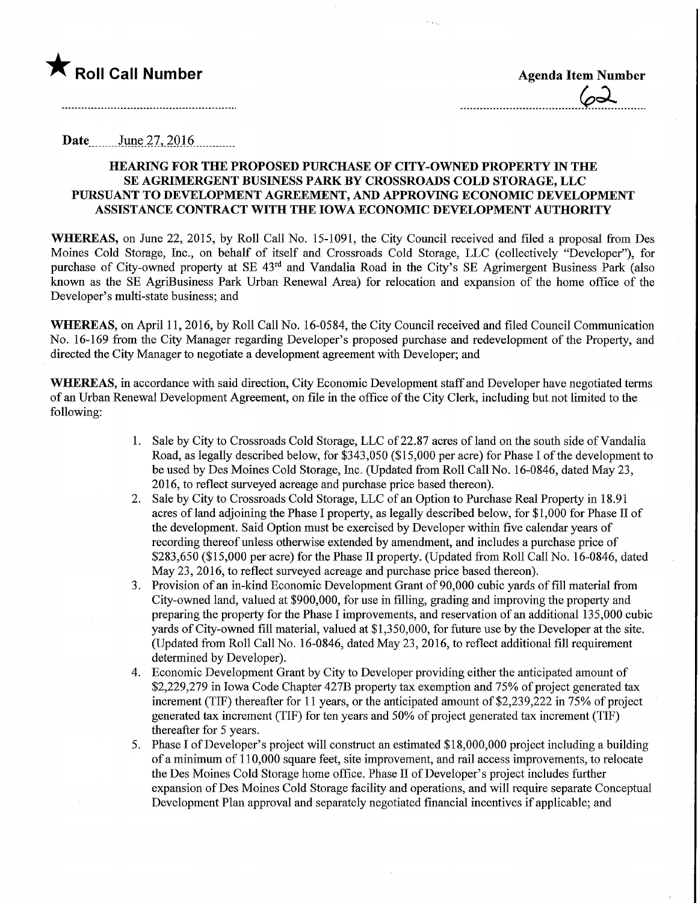**Date** June 27, 2016

## HEARING FOR THE PROPOSED PURCHASE OF CITY-OWNED PROPERTY IN THE SE AGRIMERGENT BUSINESS PARK BY CROSSROADS COLD STORAGE, LLC PURSUANT TO DEVELOPMENT AGREEMENT, AND APPROVING ECONOMIC DEVELOPMENT ASSISTANCE CONTRACT WITH THE IOWA ECONOMIC DEVELOPMENT AUTHORITY

WHEREAS, on June 22, 2015, by Roll Call No. 15-1091, the City Council received and filed a proposal from Des Moines Cold Storage, Inc., on behalf of itself and Crossroads Cold Storage, LLC (collectively "Developer"), for purchase of City-owned property at SE 43<sup>rd</sup> and Vandalia Road in the City's SE Agrimergent Business Park (also known as the SE AgriBusiness Park Urban Renewal Area) for relocation and expansion of the home office of the Developer's multi-state business; and

WHEREAS, on April 11, 2016, by Roll Call No. 16-0584, the City Council received and filed Council Communication No. 16-169 from the City Manager regarding Developer's proposed purchase and redevelopment of the Property, and directed the City Manager to negotiate a development agreement with Developer; and

WHEREAS, in accordance with said direction, City Economic Development staff and Developer have negotiated terms of an Urban Renewal Development Agreement, on file in the office of the City Clerk, including but not limited to the following:

- 1. Sale by City to Crossroads Cold Storage, LLC of 22.87 acres of land on the south side ofVandalia Road, as legally described below, for \$343,050 (\$15,000 per acre) for Phase I of the development to be used by Des Moines Cold Storage, Inc. (Updated from Roll Call No. 16-0846, dated May 23, 2016, to reflect surveyed acreage and purchase price based thereon).
- 2. Sale by City to Crossroads Cold Storage, LLC of an Option to Purchase Real Property in 18.91 acres of land adjoining the Phase I property, as legally described below, for \$1,000 for Phase II of the development. Said Option must be exercised by Developer within five calendar years of recording thereof unless otherwise extended by amendment, and includes a purchase price of  $$283,650$  ( $$15,000$  per acre) for the Phase II property. (Updated from Roll Call No. 16-0846, dated May 23, 2016, to reflect surveyed acreage and purchase price based thereon).
- 3. Provision of an in-kind Economic Development Grant of 90,000 cubic yards of fill material from City-owned land, valued at \$900,000, for use in filling, grading and improving the property and preparing the property for the Phase I improvements, and reservation of an additional 135,000 cubic yards of City-owned fill material, valued at \$1,350,000, for future use by the Developer at the site. (Updated from Roll Call No. 16-0846, dated May 23,2016, to reflect additional fill requirement determined by Developer).
- 4. Economic Development Grant by City to Developer providing either the anticipated amount of \$2,229,279 in Iowa Code Chapter 427B property tax exemption and 75% of project generated tax increment (TIF) thereafter for 11 years, or the anticipated amount of \$2,239,222 in 75% of project generated tax increment (TIF) for ten years and 50% of project generated tax increment (TIF) thereafter for 5 years.
- 5. Phase I of Developer's project will construct an estimated \$18,000,000 project including a building of a minimum of 110,000 square feet, site improvement, and rail access improvements, to relocate the Des Moines Cold Storage home office. Phase II of Developer's project includes further expansion of Des Moines Cold Storage facility and operations, and will require separate Conceptual Development Plan approval and separately negotiated financial incentives if applicable; and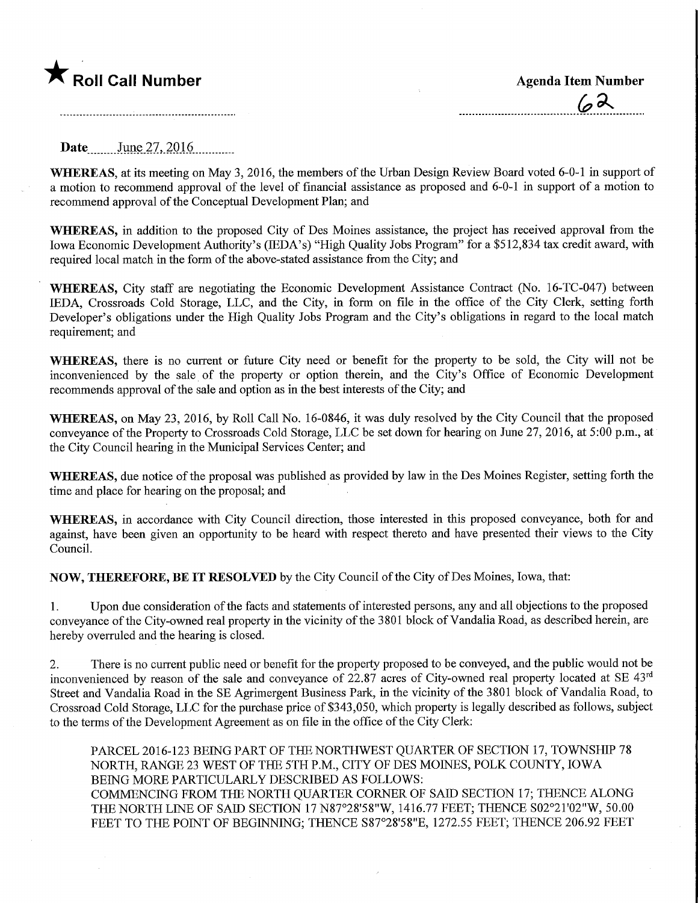

**Date** June 27, 2016

WHEREAS, at its meeting on May 3, 2016, the members of the Urban Design Review Board voted 6-0-1 in support of a motion to recommend approval of the level of financial assistance as proposed and 6-0-1 in support of a motion to recommend approval of the Conceptual Development Plan; and

WHEREAS, in addition to the proposed City of Des Moines assistance, the project has received approval from the Iowa Economic Development Authority's (IEDA's) "High Quality Jobs Program" for a \$512,834 tax credit award, with required local match in the form of the above-stated assistance from the City; and

WHEREAS, City staff are negotiating the Economic Development Assistance Contract (No. 16-TC-047) between IEDA, Crossroads Cold Storage, LLC, and the City, in form on file in the office of the City Clerk, setting forth Developer's obligations under the High Quality Jobs Program and the City's obligations in regard to the local match requirement; and

WHEREAS, there is no current or future City need or benefit for the property to be sold, the City will not be inconvenienced by the sale of the property or option therein, and the City's Office of Economic Development recommends approval of the sale and option as in the best interests of the City; and

WHEREAS, on May 23, 2016, by Roll Call No. 16-0846, it was duly resolved by the City Council that the proposed conveyance of the Property to Crossroads Cold Storage, LLC be set down for hearing on June 27, 2016, at 5:00 p.m., at the City Council hearing in the Municipal Services Center; and

WHEREAS, due notice of the proposal was published as provided by law in the Des Moines Register, setting forth the time and place for hearing on the proposal; and

WHEREAS, in accordance with City Council direction, those interested in this proposed conveyance, both for and against, have been given an opportunity to be heard with respect thereto and have presented their views to the City Council.

NOW, THEREFORE, BE IT RESOLVED by the City Council of the City of Des Moines, Iowa, that:

1. Upon due consideration of the facts and statements of interested persons, any and all objections to the proposed conveyance of the City-owned real property in the vicinity of the 3801 block of Vandalia Road, as described herein, are hereby overruled and the hearing is closed.

2. There is no current public need or benefit for the property proposed to be conveyed, and the public would not be inconvenienced by reason of the sale and conveyance of 22.87 acres of City-owned real property located at SE 43rd Street and Vandalia Road in the SE Agrimergent Business Park, in the vicinity of the 3801 block of Vandalia Road, to Crossroad Cold Storage, LLC for the purchase price of \$343,050, which property is legally described as follows, subject to the terms of the Development Agreement as on file in the office of the City Clerk:

PARCEL 2016-123 BEING PART OF THE NORTHWEST QUARTER OF SECTION 17, TOWNSHIP 78 NORTH, RANGE 23 WEST OF THE 5TH P.M., CITY OF DES MOINES, POLK COUNTY, IOWA BEING MORE PARTICULARLY DESCRIBED AS FOLLOWS: COMMENCING FROM THE NORTH QUARTER CORNER OF SAID SECTION 17; THENCE ALONG THE NORTH LINE OF SAID SECTION 17N87°28'58"W, 1416.77 FEET; THENCE S02°21'02"W, 50.00 FEET TO THE POINT OF BEGINNING; THENCE S87°28'58"E, 1272.55 FEET; THENCE 206.92 FEET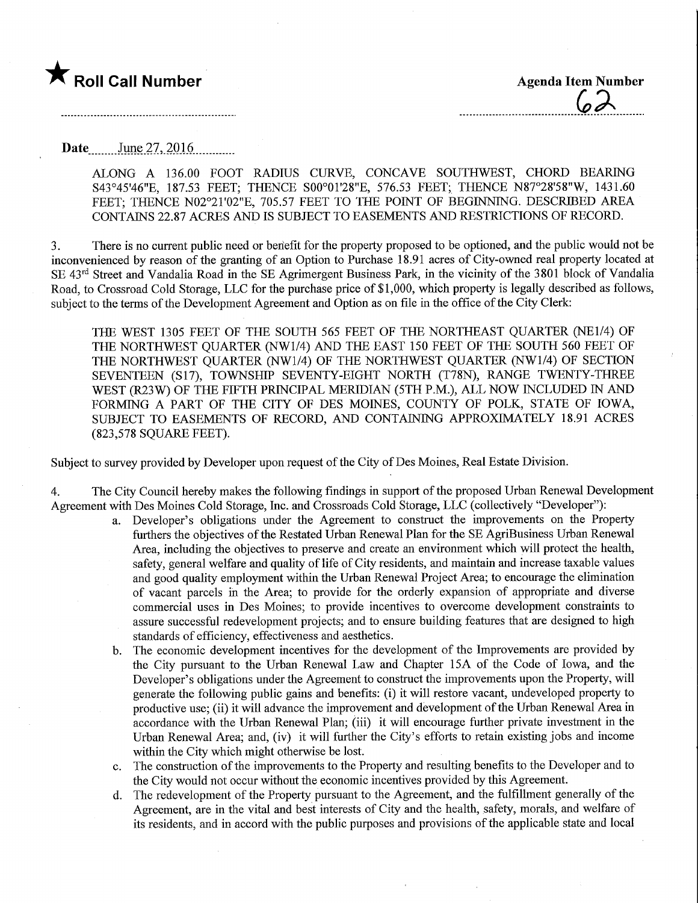

Date ........June 27,.201.6.

ALONG A 136.00 FOOT RADIUS CURVE, CONCAVE SOUTHWEST, CHORD BEARING S43°45'46"E, 187.53 FEET; THENCE SOO°01'28"E, 576.53 FEET; THENCE N87°28'58"W, 1431.60 FEET; THENCE N02°21'02"E, 705.57 FEET TO THE POINT OF BEGINNING. DESCRIBED AREA CONTAINS 22.87 ACRES AND IS SUBJECT TO EASEMENTS AND RESTRICTIONS OF RECORD.

3. There is no current public need or beriefit for the property proposed to be optioned, and the public would not be inconvenienced by reason of the granting of an Option to Purchase 18.91 acres of City-owned real property located at SE 43<sup>rd</sup> Street and Vandalia Road in the SE Agrimergent Business Park, in the vicinity of the 3801 block of Vandalia Road, to Crossroad Cold Storage, LLC for the purchase price of \$1,000, which property is legally described as follows, subject to the terms of the Development Agreement and Option as on file in the office of the City Clerk:

THE WEST 1305 FEET OF THE SOUTH 565 FEET OF THE NORTHEAST QUARTER (NE1/4) OF THE NORTHWEST QUARTER (NW1/4) AND THE EAST 150 FEET OF THE SOUTH 560 FEET OF THE NORTHWEST QUARTER (NW1/4) OF THE NORTHWEST QUARTER (NW1/4) OF SECTION SEVENTEEN (S17), TOWNSHIP SEVENTY-EIGHT NORTH (T78N), RANGE TWENTY-THREE WEST (R23W) OF THE FIFTH PRINCIPAL MERIDIAN (5TH P.M.), ALL NOW INCLUDED IN AND FORMING A PART OF THE CITY OF DES MOINES, COUNTY OF POLK, STATE OF IOWA, SUBJECT TO EASEMENTS OF RECORD, AND CONTAINING APPROXIMATELY 18.91 ACRES (823,578 SQUARE FEET).

Subject to survey provided by Developer upon request of the City of Des Moines, Real Estate Division.

4. The City Council hereby makes the following findings in support of the proposed Urban Renewal Development Agreement with Des Moines Cold Storage, Inc. and Crossroads Cold Storage, LLC (collectively "Developer"):

- a. Developer's obligations under the Agreement to construct the improvements on the Property furthers the objectives of the Restated Urban Renewal Plan for the SE AgriBusiness Urban Renewal Area, including the objectives to preserve and create an environment which will protect the health, safety, general welfare and quality of life of City residents, and maintain and increase taxable values and good quality employment within the Urban Renewal Project Area; to encourage the elimination of vacant parcels in the Area; to provide for the orderly expansion of appropriate and diverse commercial uses in Des Moines; to provide incentives to overcome development constraints to assure successful redevelopment projects; and to ensure building features that are designed to high standards of efficiency, effectiveness and aesthetics.
- b. The economic development incentives for the development of the Improvements are provided by the City pursuant to the Urban Renewal Law and Chapter 15A of the Code of Iowa, and the Developer's obligations under the Agreement to construct the improvements upon the Property, will generate the following public gains and benefits: (i) it will restore vacant, undeveloped property to productive use; (ii) it will advance the improvement and development of the Urban Renewal Area in accordance with the Urban Renewal Plan; (iii) it will encourage further private investment in the Urban Renewal Area; and, (iv) it will further the City's efforts to retain existing jobs and income within the City which might otherwise be lost.
- c. The construction of the improvements to the Property and resulting benefits to the Developer and to the City would not occur without the economic incentives provided by this Agreement.
- d. The redevelopment of the Property pursuant to the Agreement, and the fulfilhnent generally of the Agreement, are in the vital and best interests of City and the health, safety, morals, and welfare of its residents, and in accord with the public purposes and provisions of the applicable state and local